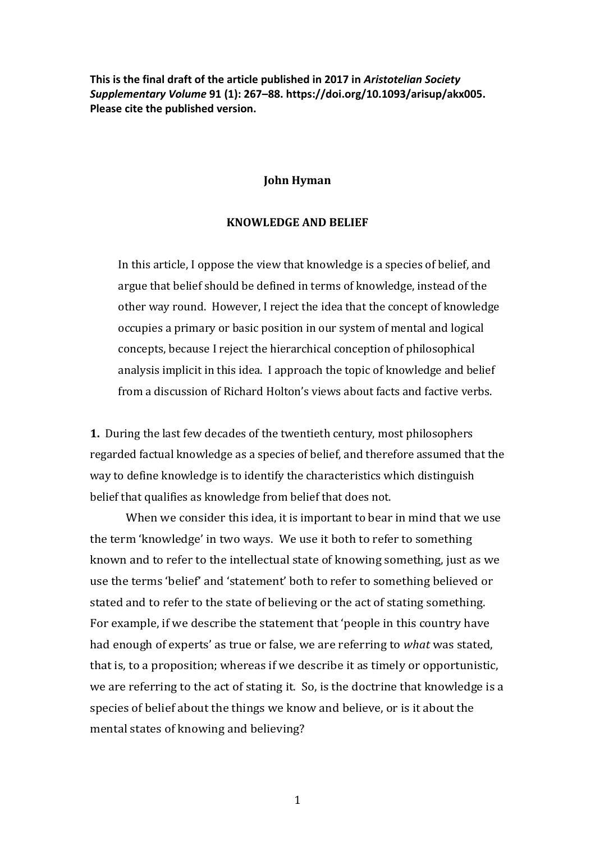**This is the final draft of the article published in 2017 in** *Aristotelian Society Supplementary Volume* **91 (1): 267–88. https://doi.org/10.1093/arisup/akx005. Please cite the published version.**

## **John Hyman**

## **KNOWLEDGE AND BELIEF**

In this article, I oppose the view that knowledge is a species of belief, and argue that belief should be defined in terms of knowledge, instead of the other way round. However, I reject the idea that the concept of knowledge occupies a primary or basic position in our system of mental and logical concepts, because I reject the hierarchical conception of philosophical analysis implicit in this idea. I approach the topic of knowledge and belief from a discussion of Richard Holton's views about facts and factive verbs.

**1.** During the last few decades of the twentieth century, most philosophers regarded factual knowledge as a species of belief, and therefore assumed that the way to define knowledge is to identify the characteristics which distinguish belief that qualifies as knowledge from belief that does not.

When we consider this idea, it is important to bear in mind that we use the term 'knowledge' in two ways. We use it both to refer to something known and to refer to the intellectual state of knowing something, just as we use the terms 'belief' and 'statement' both to refer to something believed or stated and to refer to the state of believing or the act of stating something. For example, if we describe the statement that 'people in this country have had enough of experts' as true or false, we are referring to *what* was stated, that is, to a proposition; whereas if we describe it as timely or opportunistic, we are referring to the act of stating it. So, is the doctrine that knowledge is a species of belief about the things we know and believe, or is it about the mental states of knowing and believing?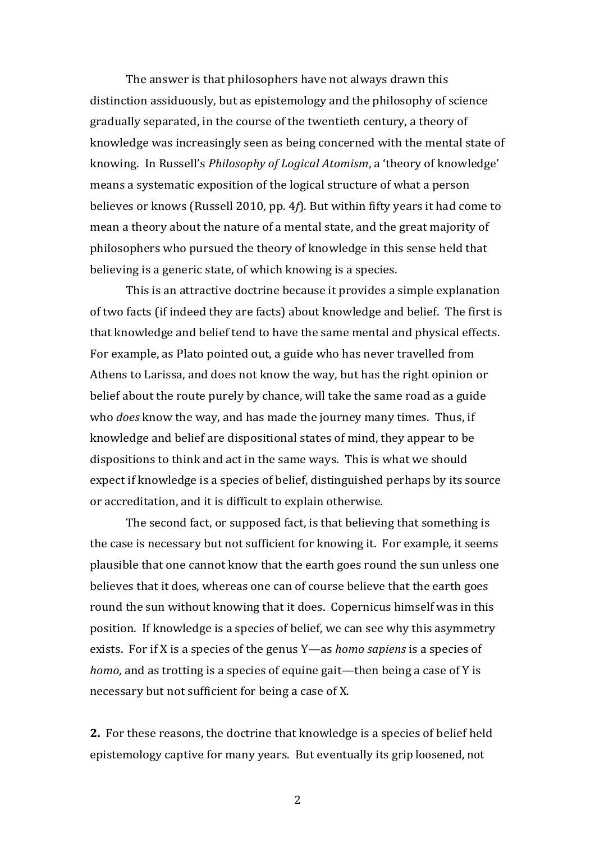The answer is that philosophers have not always drawn this distinction assiduously, but as epistemology and the philosophy of science gradually separated, in the course of the twentieth century, a theory of knowledge was increasingly seen as being concerned with the mental state of knowing. In Russell's *Philosophy of Logical Atomism*, a 'theory of knowledge' means a systematic exposition of the logical structure of what a person believes or knows (Russell 2010, pp. 4*f*). But within fifty years it had come to mean a theory about the nature of a mental state, and the great majority of philosophers who pursued the theory of knowledge in this sense held that believing is a generic state, of which knowing is a species.

This is an attractive doctrine because it provides a simple explanation of two facts (if indeed they are facts) about knowledge and belief. The first is that knowledge and belief tend to have the same mental and physical effects. For example, as Plato pointed out, a guide who has never travelled from Athens to Larissa, and does not know the way, but has the right opinion or belief about the route purely by chance, will take the same road as a guide who *does* know the way, and has made the journey many times. Thus, if knowledge and belief are dispositional states of mind, they appear to be dispositions to think and act in the same ways. This is what we should expect if knowledge is a species of belief, distinguished perhaps by its source or accreditation, and it is difficult to explain otherwise.

The second fact, or supposed fact, is that believing that something is the case is necessary but not sufficient for knowing it. For example, it seems plausible that one cannot know that the earth goes round the sun unless one believes that it does, whereas one can of course believe that the earth goes round the sun without knowing that it does. Copernicus himself was in this position. If knowledge is a species of belief, we can see why this asymmetry exists. For if X is a species of the genus Y—as *homo sapiens* is a species of *homo*, and as trotting is a species of equine gait—then being a case of Y is necessary but not sufficient for being a case of X.

**2.** For these reasons, the doctrine that knowledge is a species of belief held epistemology captive for many years. But eventually its grip loosened, not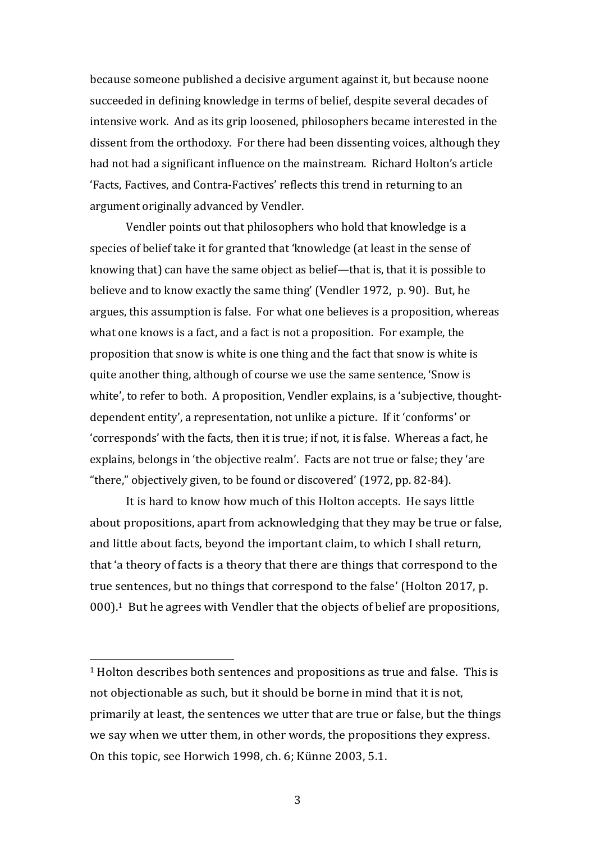because someone published a decisive argument against it, but because noone succeeded in defining knowledge in terms of belief, despite several decades of intensive work. And as its grip loosened, philosophers became interested in the dissent from the orthodoxy. For there had been dissenting voices, although they had not had a significant influence on the mainstream. Richard Holton's article 'Facts, Factives, and Contra-Factives' reflects this trend in returning to an argument originally advanced by Vendler.

Vendler points out that philosophers who hold that knowledge is a species of belief take it for granted that 'knowledge (at least in the sense of knowing that) can have the same object as belief—that is, that it is possible to believe and to know exactly the same thing' (Vendler 1972, p. 90). But, he argues, this assumption is false. For what one believes is a proposition, whereas what one knows is a fact, and a fact is not a proposition. For example, the proposition that snow is white is one thing and the fact that snow is white is quite another thing, although of course we use the same sentence, 'Snow is white', to refer to both. A proposition, Vendler explains, is a 'subjective, thoughtdependent entity', a representation, not unlike a picture. If it 'conforms' or 'corresponds' with the facts, then it is true; if not, it is false. Whereas a fact, he explains, belongs in 'the objective realm'. Facts are not true or false; they 'are "there," objectively given, to be found or discovered' (1972, pp. 82-84).

It is hard to know how much of this Holton accepts. He says little about propositions, apart from acknowledging that they may be true or false, and little about facts, beyond the important claim, to which I shall return, that 'a theory of facts is a theory that there are things that correspond to the true sentences, but no things that correspond to the false' (Holton 2017, p. 000).1 But he agrees with Vendler that the objects of belief are propositions,

<sup>&</sup>lt;sup>1</sup> Holton describes both sentences and propositions as true and false. This is not objectionable as such, but it should be borne in mind that it is not, primarily at least, the sentences we utter that are true or false, but the things we say when we utter them, in other words, the propositions they express. On this topic, see Horwich 1998, ch. 6; Künne 2003, 5.1.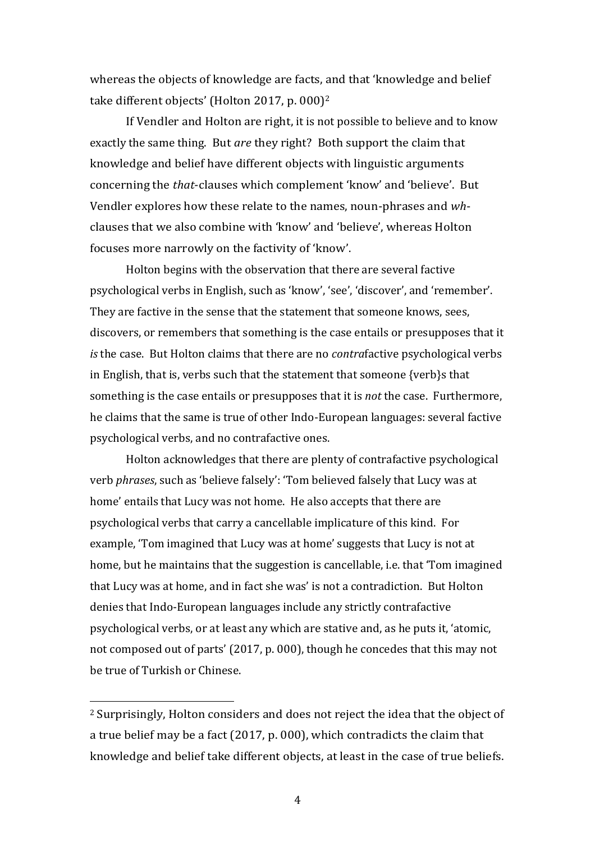whereas the objects of knowledge are facts, and that 'knowledge and belief take different objects' (Holton 2017, p. 000)<sup>2</sup>

If Vendler and Holton are right, it is not possible to believe and to know exactly the same thing. But *are* they right? Both support the claim that knowledge and belief have different objects with linguistic arguments concerning the *that*-clauses which complement 'know' and 'believe'. But Vendler explores how these relate to the names, noun-phrases and *wh*clauses that we also combine with 'know' and 'believe', whereas Holton focuses more narrowly on the factivity of 'know'.

Holton begins with the observation that there are several factive psychological verbs in English, such as 'know', 'see', 'discover', and 'remember'. They are factive in the sense that the statement that someone knows, sees, discovers, or remembers that something is the case entails or presupposes that it *is* the case. But Holton claims that there are no *contra*factive psychological verbs in English, that is, verbs such that the statement that someone {verb}s that something is the case entails or presupposes that it is *not* the case. Furthermore, he claims that the same is true of other Indo-European languages: several factive psychological verbs, and no contrafactive ones.

Holton acknowledges that there are plenty of contrafactive psychological verb *phrases*, such as 'believe falsely': 'Tom believed falsely that Lucy was at home' entails that Lucy was not home. He also accepts that there are psychological verbs that carry a cancellable implicature of this kind. For example, 'Tom imagined that Lucy was at home' suggests that Lucy is not at home, but he maintains that the suggestion is cancellable, i.e. that 'Tom imagined that Lucy was at home, and in fact she was' is not a contradiction. But Holton denies that Indo-European languages include any strictly contrafactive psychological verbs, or at least any which are stative and, as he puts it, 'atomic, not composed out of parts' (2017, p. 000), though he concedes that this may not be true of Turkish or Chinese.

<sup>2</sup> Surprisingly, Holton considers and does not reject the idea that the object of a true belief may be a fact (2017, p. 000), which contradicts the claim that knowledge and belief take different objects, at least in the case of true beliefs.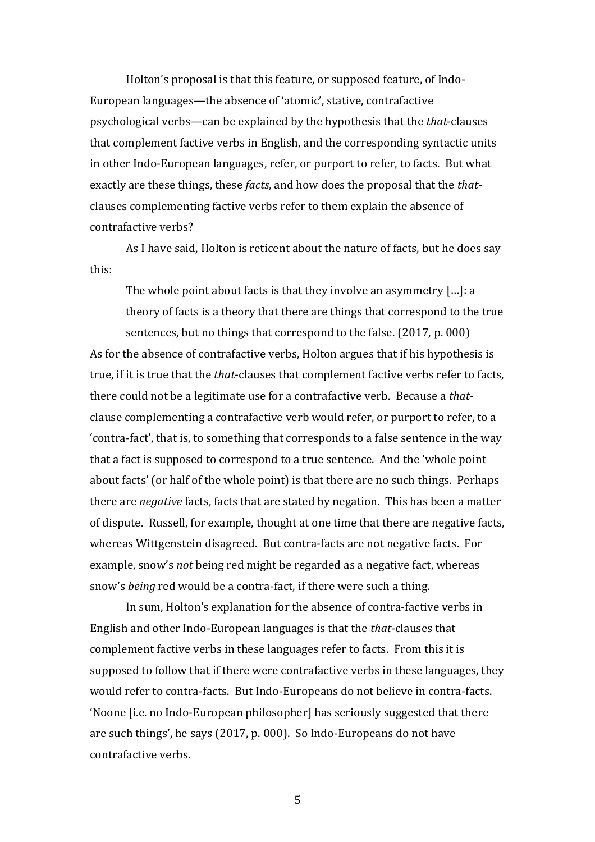Holton's proposal is that this feature, or supposed feature, of Indo-European languages—the absence of 'atomic', stative, contrafactive psychological verbs—can be explained by the hypothesis that the *that*-clauses that complement factive verbs in English, and the corresponding syntactic units in other Indo-European languages, refer, or purport to refer, to facts. But what exactly are these things, these *facts*, and how does the proposal that the *that*clauses complementing factive verbs refer to them explain the absence of contrafactive verbs?

As I have said, Holton is reticent about the nature of facts, but he does say this:

The whole point about facts is that they involve an asymmetry […]: a theory of facts is a theory that there are things that correspond to the true sentences, but no things that correspond to the false. (2017, p. 000)

As for the absence of contrafactive verbs, Holton argues that if his hypothesis is true, if it is true that the *that*-clauses that complement factive verbs refer to facts, there could not be a legitimate use for a contrafactive verb. Because a *that*clause complementing a contrafactive verb would refer, or purport to refer, to a 'contra-fact', that is, to something that corresponds to a false sentence in the way that a fact is supposed to correspond to a true sentence. And the 'whole point about facts' (or half of the whole point) is that there are no such things. Perhaps there are *negative* facts, facts that are stated by negation. This has been a matter of dispute. Russell, for example, thought at one time that there are negative facts, whereas Wittgenstein disagreed. But contra-facts are not negative facts. For example, snow's *not* being red might be regarded as a negative fact, whereas snow's *being* red would be a contra-fact, if there were such a thing.

In sum, Holton's explanation for the absence of contra-factive verbs in English and other Indo-European languages is that the *that*-clauses that complement factive verbs in these languages refer to facts. From this it is supposed to follow that if there were contrafactive verbs in these languages, they would refer to contra-facts. But Indo-Europeans do not believe in contra-facts. 'Noone [i.e. no Indo-European philosopher] has seriously suggested that there are such things', he says (2017, p. 000). So Indo-Europeans do not have contrafactive verbs.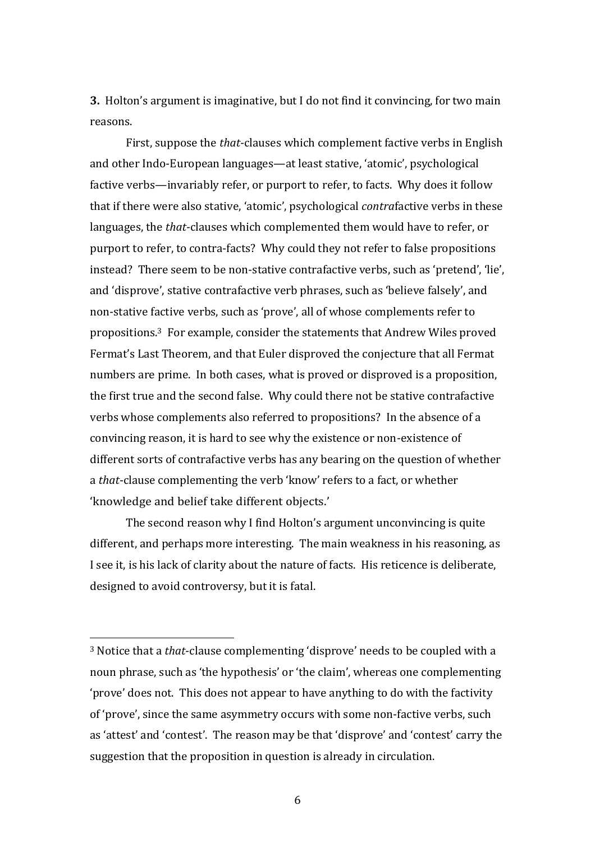**3.** Holton's argument is imaginative, but I do not find it convincing, for two main reasons.

First, suppose the *that*-clauses which complement factive verbs in English and other Indo-European languages—at least stative, 'atomic', psychological factive verbs—invariably refer, or purport to refer, to facts. Why does it follow that if there were also stative, 'atomic', psychological *contra*factive verbs in these languages, the *that*-clauses which complemented them would have to refer, or purport to refer, to contra-facts? Why could they not refer to false propositions instead? There seem to be non-stative contrafactive verbs, such as 'pretend', 'lie', and 'disprove', stative contrafactive verb phrases, such as 'believe falsely', and non-stative factive verbs, such as 'prove', all of whose complements refer to propositions.3 For example, consider the statements that Andrew Wiles proved Fermat's Last Theorem, and that Euler disproved the conjecture that all Fermat numbers are prime. In both cases, what is proved or disproved is a proposition, the first true and the second false. Why could there not be stative contrafactive verbs whose complements also referred to propositions? In the absence of a convincing reason, it is hard to see why the existence or non-existence of different sorts of contrafactive verbs has any bearing on the question of whether a *that*-clause complementing the verb 'know' refers to a fact, or whether 'knowledge and belief take different objects.'

The second reason why I find Holton's argument unconvincing is quite different, and perhaps more interesting. The main weakness in his reasoning, as I see it, is his lack of clarity about the nature of facts. His reticence is deliberate, designed to avoid controversy, but it is fatal.

<sup>3</sup> Notice that a *that*-clause complementing 'disprove' needs to be coupled with a noun phrase, such as 'the hypothesis' or 'the claim', whereas one complementing 'prove' does not. This does not appear to have anything to do with the factivity of 'prove', since the same asymmetry occurs with some non-factive verbs, such as 'attest' and 'contest'. The reason may be that 'disprove' and 'contest' carry the suggestion that the proposition in question is already in circulation.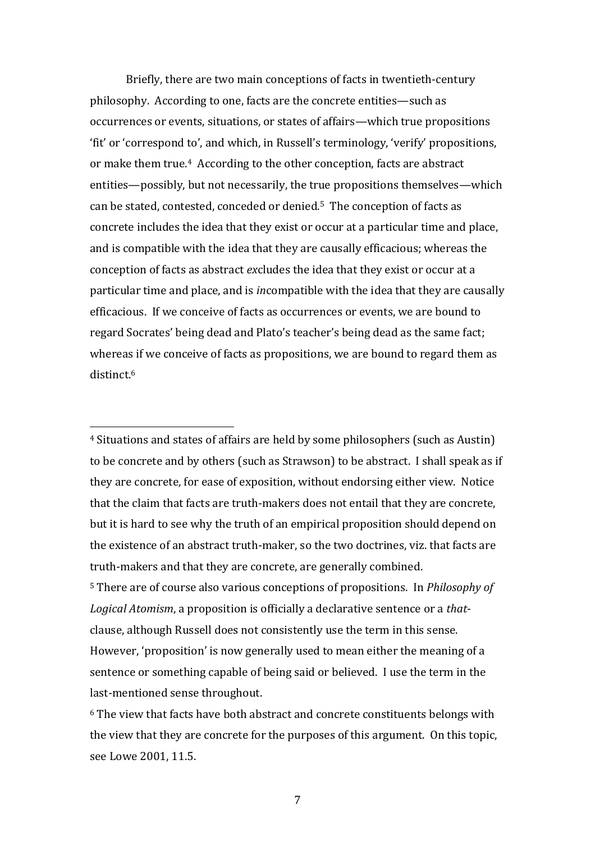Briefly, there are two main conceptions of facts in twentieth-century philosophy. According to one, facts are the concrete entities—such as occurrences or events, situations, or states of affairs—which true propositions 'fit' or 'correspond to', and which, in Russell's terminology, 'verify' propositions, or make them true.<sup>4</sup> According to the other conception, facts are abstract entities—possibly, but not necessarily, the true propositions themselves—which can be stated, contested, conceded or denied.5 The conception of facts as concrete includes the idea that they exist or occur at a particular time and place, and is compatible with the idea that they are causally efficacious; whereas the conception of facts as abstract *ex*cludes the idea that they exist or occur at a particular time and place, and is *in*compatible with the idea that they are causally efficacious. If we conceive of facts as occurrences or events, we are bound to regard Socrates' being dead and Plato's teacher's being dead as the same fact; whereas if we conceive of facts as propositions, we are bound to regard them as distinct.<sup>6</sup>

<sup>4</sup> Situations and states of affairs are held by some philosophers (such as Austin) to be concrete and by others (such as Strawson) to be abstract. I shall speak as if they are concrete, for ease of exposition, without endorsing either view. Notice that the claim that facts are truth-makers does not entail that they are concrete, but it is hard to see why the truth of an empirical proposition should depend on the existence of an abstract truth-maker, so the two doctrines, viz. that facts are truth-makers and that they are concrete, are generally combined. <sup>5</sup> There are of course also various conceptions of propositions. In *Philosophy of* 

*Logical Atomism*, a proposition is officially a declarative sentence or a *that*clause, although Russell does not consistently use the term in this sense. However, 'proposition' is now generally used to mean either the meaning of a sentence or something capable of being said or believed. I use the term in the last-mentioned sense throughout.

<sup>6</sup> The view that facts have both abstract and concrete constituents belongs with the view that they are concrete for the purposes of this argument. On this topic, see Lowe 2001, 11.5.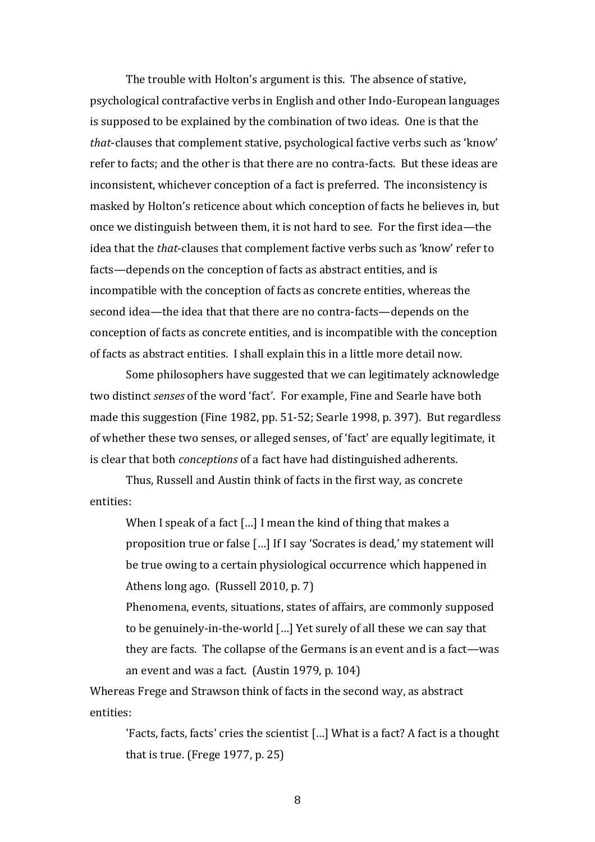The trouble with Holton's argument is this. The absence of stative, psychological contrafactive verbs in English and other Indo-European languages is supposed to be explained by the combination of two ideas. One is that the *that*-clauses that complement stative, psychological factive verbs such as 'know' refer to facts; and the other is that there are no contra-facts. But these ideas are inconsistent, whichever conception of a fact is preferred. The inconsistency is masked by Holton's reticence about which conception of facts he believes in, but once we distinguish between them, it is not hard to see. For the first idea—the idea that the *that*-clauses that complement factive verbs such as 'know' refer to facts—depends on the conception of facts as abstract entities, and is incompatible with the conception of facts as concrete entities, whereas the second idea—the idea that that there are no contra-facts—depends on the conception of facts as concrete entities, and is incompatible with the conception of facts as abstract entities. I shall explain this in a little more detail now.

Some philosophers have suggested that we can legitimately acknowledge two distinct *senses* of the word 'fact'. For example, Fine and Searle have both made this suggestion (Fine 1982, pp. 51-52; Searle 1998, p. 397). But regardless of whether these two senses, or alleged senses, of 'fact' are equally legitimate, it is clear that both *conceptions* of a fact have had distinguished adherents.

Thus, Russell and Austin think of facts in the first way, as concrete entities:

When I speak of a fact [...] I mean the kind of thing that makes a proposition true or false […] If I say 'Socrates is dead,' my statement will be true owing to a certain physiological occurrence which happened in Athens long ago. (Russell 2010, p. 7)

Phenomena, events, situations, states of affairs, are commonly supposed to be genuinely-in-the-world […] Yet surely of all these we can say that they are facts. The collapse of the Germans is an event and is a fact—was an event and was a fact. (Austin 1979, p. 104)

Whereas Frege and Strawson think of facts in the second way, as abstract entities:

'Facts, facts, facts' cries the scientist […] What is a fact? A fact is a thought that is true. (Frege 1977, p. 25)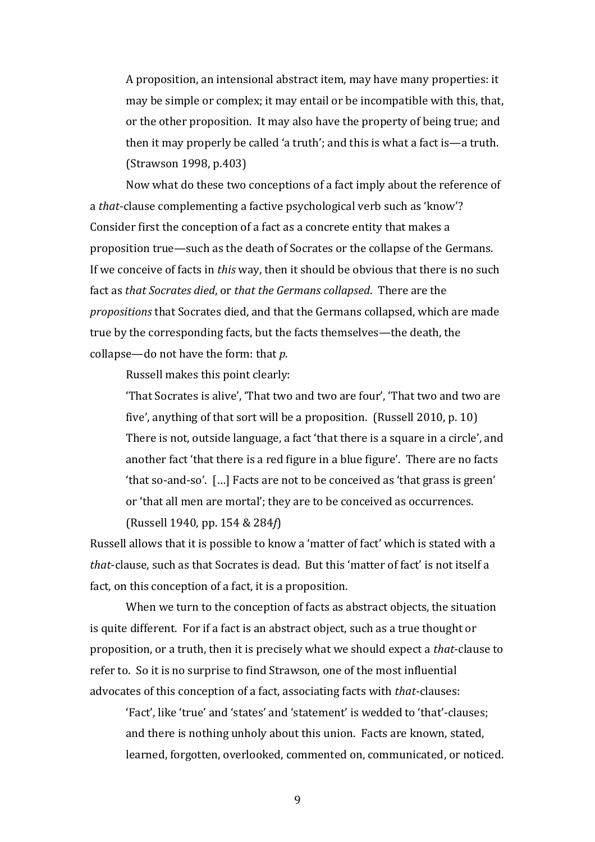A proposition, an intensional abstract item, may have many properties: it may be simple or complex; it may entail or be incompatible with this, that, or the other proposition. It may also have the property of being true; and then it may properly be called 'a truth'; and this is what a fact is—a truth. (Strawson 1998, p.403)

Now what do these two conceptions of a fact imply about the reference of a *that*-clause complementing a factive psychological verb such as 'know'? Consider first the conception of a fact as a concrete entity that makes a proposition true—such as the death of Socrates or the collapse of the Germans. If we conceive of facts in *this* way, then it should be obvious that there is no such fact as *that Socrates died*, or *that the Germans collapsed*. There are the *propositions* that Socrates died, and that the Germans collapsed, which are made true by the corresponding facts, but the facts themselves—the death, the collapse—do not have the form: that *p*.

Russell makes this point clearly:

'That Socrates is alive', 'That two and two are four', 'That two and two are five', anything of that sort will be a proposition. (Russell 2010, p. 10) There is not, outside language, a fact 'that there is a square in a circle', and another fact 'that there is a red figure in a blue figure'. There are no facts 'that so-and-so'. […] Facts are not to be conceived as 'that grass is green' or 'that all men are mortal'; they are to be conceived as occurrences. (Russell 1940, pp. 154 & 284*f*)

Russell allows that it is possible to know a 'matter of fact' which is stated with a *that*-clause, such as that Socrates is dead. But this 'matter of fact' is not itself a fact, on this conception of a fact, it is a proposition.

When we turn to the conception of facts as abstract objects, the situation is quite different. For if a fact is an abstract object, such as a true thought or proposition, or a truth, then it is precisely what we should expect a *that*-clause to refer to. So it is no surprise to find Strawson, one of the most influential advocates of this conception of a fact, associating facts with *that*-clauses:

'Fact', like 'true' and 'states' and 'statement' is wedded to 'that'-clauses; and there is nothing unholy about this union. Facts are known, stated, learned, forgotten, overlooked, commented on, communicated, or noticed.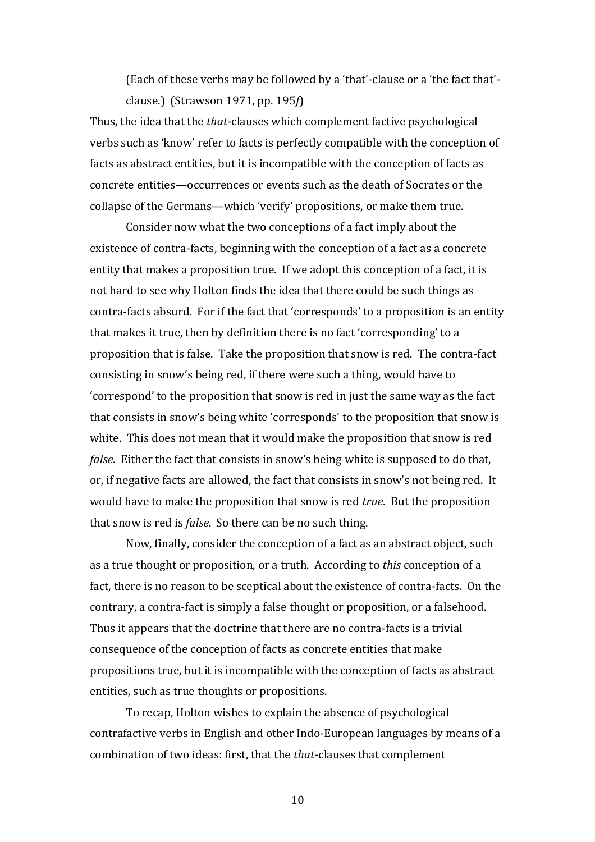(Each of these verbs may be followed by a 'that'-clause or a 'the fact that' clause.) (Strawson 1971, pp. 195*f*)

Thus, the idea that the *that*-clauses which complement factive psychological verbs such as 'know' refer to facts is perfectly compatible with the conception of facts as abstract entities, but it is incompatible with the conception of facts as concrete entities—occurrences or events such as the death of Socrates or the collapse of the Germans—which 'verify' propositions, or make them true.

Consider now what the two conceptions of a fact imply about the existence of contra-facts, beginning with the conception of a fact as a concrete entity that makes a proposition true. If we adopt this conception of a fact, it is not hard to see why Holton finds the idea that there could be such things as contra-facts absurd. For if the fact that 'corresponds' to a proposition is an entity that makes it true, then by definition there is no fact 'corresponding' to a proposition that is false. Take the proposition that snow is red. The contra-fact consisting in snow's being red, if there were such a thing, would have to 'correspond' to the proposition that snow is red in just the same way as the fact that consists in snow's being white 'corresponds' to the proposition that snow is white. This does not mean that it would make the proposition that snow is red *false*. Either the fact that consists in snow's being white is supposed to do that, or, if negative facts are allowed, the fact that consists in snow's not being red. It would have to make the proposition that snow is red *true*. But the proposition that snow is red is *false*. So there can be no such thing.

Now, finally, consider the conception of a fact as an abstract object, such as a true thought or proposition, or a truth. According to *this* conception of a fact, there is no reason to be sceptical about the existence of contra-facts. On the contrary, a contra-fact is simply a false thought or proposition, or a falsehood. Thus it appears that the doctrine that there are no contra-facts is a trivial consequence of the conception of facts as concrete entities that make propositions true, but it is incompatible with the conception of facts as abstract entities, such as true thoughts or propositions.

To recap, Holton wishes to explain the absence of psychological contrafactive verbs in English and other Indo-European languages by means of a combination of two ideas: first, that the *that*-clauses that complement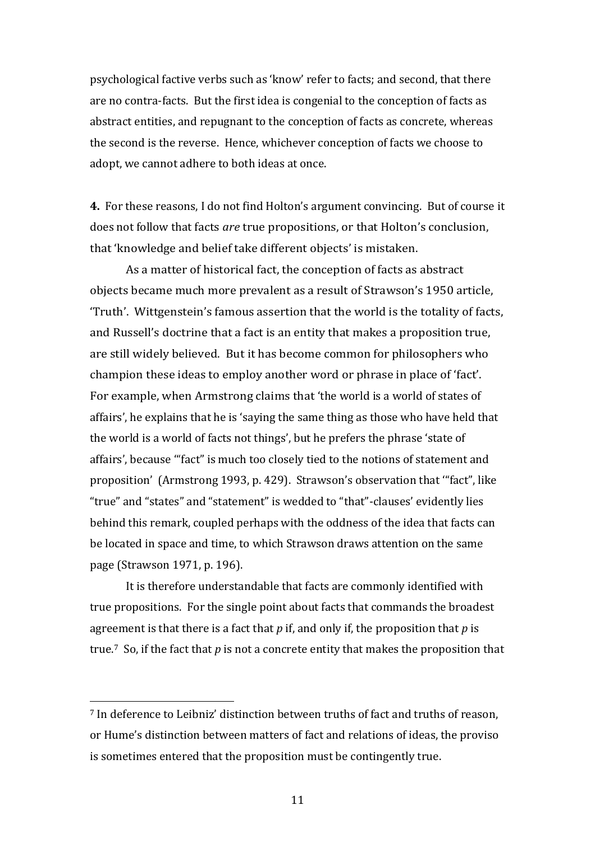psychological factive verbs such as 'know' refer to facts; and second, that there are no contra-facts. But the first idea is congenial to the conception of facts as abstract entities, and repugnant to the conception of facts as concrete, whereas the second is the reverse. Hence, whichever conception of facts we choose to adopt, we cannot adhere to both ideas at once.

**4.** For these reasons, I do not find Holton's argument convincing. But of course it does not follow that facts *are* true propositions, or that Holton's conclusion, that 'knowledge and belief take different objects' is mistaken.

As a matter of historical fact, the conception of facts as abstract objects became much more prevalent as a result of Strawson's 1950 article, 'Truth'. Wittgenstein's famous assertion that the world is the totality of facts, and Russell's doctrine that a fact is an entity that makes a proposition true, are still widely believed. But it has become common for philosophers who champion these ideas to employ another word or phrase in place of 'fact'. For example, when Armstrong claims that 'the world is a world of states of affairs', he explains that he is 'saying the same thing as those who have held that the world is a world of facts not things', but he prefers the phrase 'state of affairs', because '"fact" is much too closely tied to the notions of statement and proposition' (Armstrong 1993, p. 429). Strawson's observation that '"fact", like "true" and "states" and "statement" is wedded to "that"-clauses' evidently lies behind this remark, coupled perhaps with the oddness of the idea that facts can be located in space and time, to which Strawson draws attention on the same page (Strawson 1971, p. 196).

It is therefore understandable that facts are commonly identified with true propositions. For the single point about facts that commands the broadest agreement is that there is a fact that *p* if, and only if, the proposition that *p* is true.7 So, if the fact that *p* is not a concrete entity that makes the proposition that

<sup>7</sup> In deference to Leibniz' distinction between truths of fact and truths of reason, or Hume's distinction between matters of fact and relations of ideas, the proviso is sometimes entered that the proposition must be contingently true.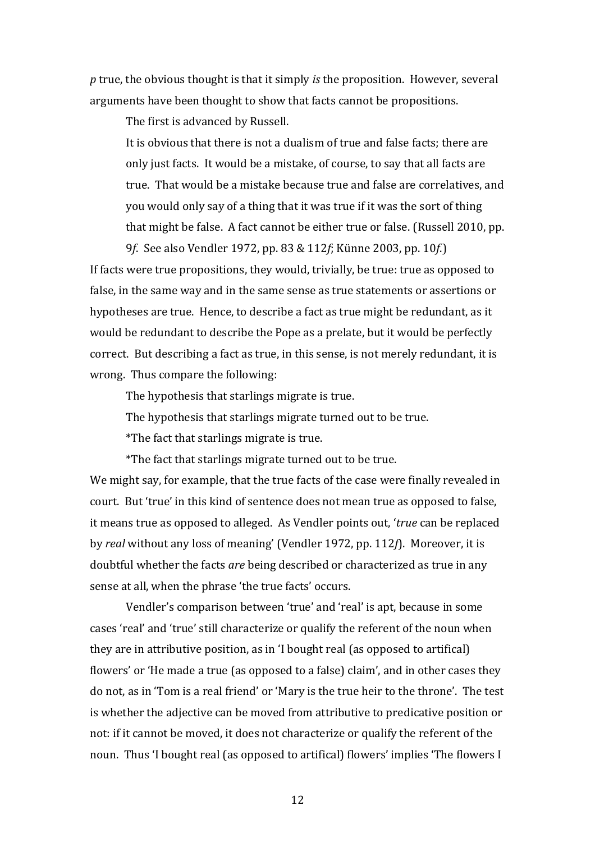*p* true, the obvious thought is that it simply *is* the proposition. However, several arguments have been thought to show that facts cannot be propositions.

The first is advanced by Russell.

It is obvious that there is not a dualism of true and false facts; there are only just facts. It would be a mistake, of course, to say that all facts are true. That would be a mistake because true and false are correlatives, and you would only say of a thing that it was true if it was the sort of thing that might be false. A fact cannot be either true or false. (Russell 2010, pp.

If facts were true propositions, they would, trivially, be true: true as opposed to false, in the same way and in the same sense as true statements or assertions or hypotheses are true. Hence, to describe a fact as true might be redundant, as it would be redundant to describe the Pope as a prelate, but it would be perfectly correct. But describing a fact as true, in this sense, is not merely redundant, it is wrong. Thus compare the following:

9*f*. See also Vendler 1972, pp. 83 & 112*f*; Künne 2003, pp. 10*f*.)

The hypothesis that starlings migrate is true.

The hypothesis that starlings migrate turned out to be true.

\*The fact that starlings migrate is true.

\*The fact that starlings migrate turned out to be true.

We might say, for example, that the true facts of the case were finally revealed in court. But 'true' in this kind of sentence does not mean true as opposed to false, it means true as opposed to alleged. As Vendler points out, '*true* can be replaced by *real* without any loss of meaning' (Vendler 1972, pp. 112*f*). Moreover, it is doubtful whether the facts *are* being described or characterized as true in any sense at all, when the phrase 'the true facts' occurs.

Vendler's comparison between 'true' and 'real' is apt, because in some cases 'real' and 'true' still characterize or qualify the referent of the noun when they are in attributive position, as in 'I bought real (as opposed to artifical) flowers' or 'He made a true (as opposed to a false) claim', and in other cases they do not, as in 'Tom is a real friend' or 'Mary is the true heir to the throne'. The test is whether the adjective can be moved from attributive to predicative position or not: if it cannot be moved, it does not characterize or qualify the referent of the noun. Thus 'I bought real (as opposed to artifical) flowers' implies 'The flowers I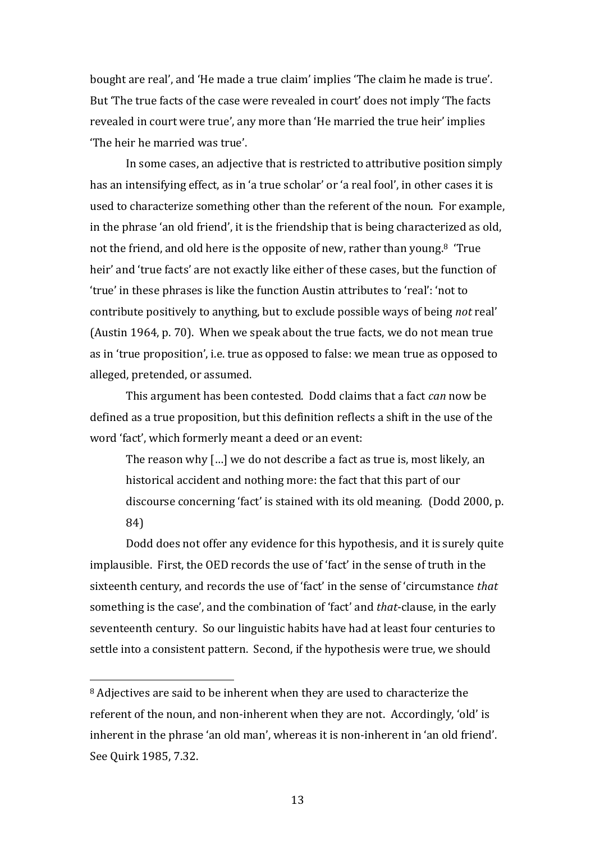bought are real', and 'He made a true claim' implies 'The claim he made is true'. But 'The true facts of the case were revealed in court' does not imply 'The facts revealed in court were true', any more than 'He married the true heir' implies 'The heir he married was true'.

In some cases, an adjective that is restricted to attributive position simply has an intensifying effect, as in 'a true scholar' or 'a real fool', in other cases it is used to characterize something other than the referent of the noun. For example, in the phrase 'an old friend', it is the friendship that is being characterized as old, not the friend, and old here is the opposite of new, rather than young.<sup>8</sup> 'True heir' and 'true facts' are not exactly like either of these cases, but the function of 'true' in these phrases is like the function Austin attributes to 'real': 'not to contribute positively to anything, but to exclude possible ways of being *not* real' (Austin 1964, p. 70). When we speak about the true facts, we do not mean true as in 'true proposition', i.e. true as opposed to false: we mean true as opposed to alleged, pretended, or assumed.

This argument has been contested. Dodd claims that a fact *can* now be defined as a true proposition, but this definition reflects a shift in the use of the word 'fact', which formerly meant a deed or an event:

The reason why […] we do not describe a fact as true is, most likely, an historical accident and nothing more: the fact that this part of our discourse concerning 'fact' is stained with its old meaning. (Dodd 2000, p. 84)

Dodd does not offer any evidence for this hypothesis, and it is surely quite implausible. First, the OED records the use of 'fact' in the sense of truth in the sixteenth century, and records the use of 'fact' in the sense of 'circumstance *that*  something is the case', and the combination of 'fact' and *that*-clause, in the early seventeenth century. So our linguistic habits have had at least four centuries to settle into a consistent pattern. Second, if the hypothesis were true, we should

<sup>&</sup>lt;sup>8</sup> Adjectives are said to be inherent when they are used to characterize the referent of the noun, and non-inherent when they are not. Accordingly, 'old' is inherent in the phrase 'an old man', whereas it is non-inherent in 'an old friend'. See Quirk 1985, 7.32.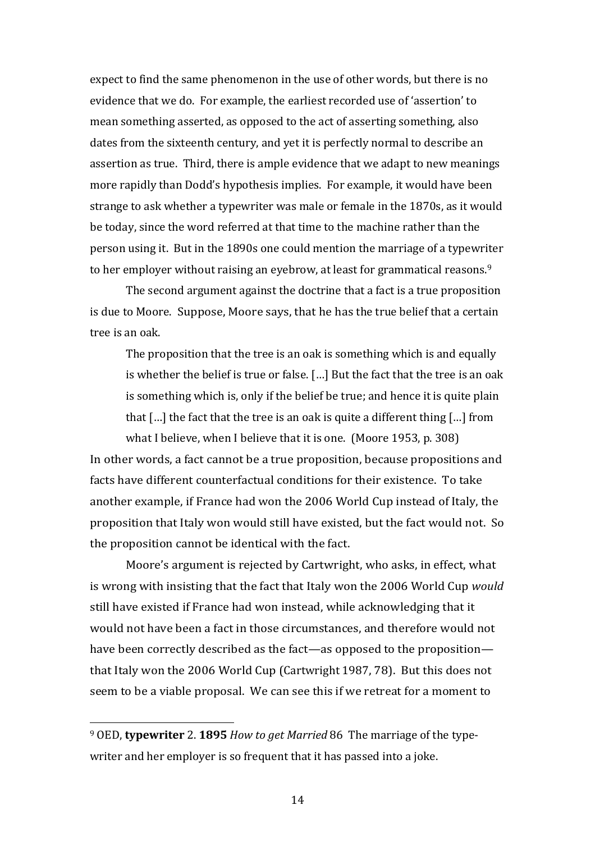expect to find the same phenomenon in the use of other words, but there is no evidence that we do. For example, the earliest recorded use of 'assertion' to mean something asserted, as opposed to the act of asserting something, also dates from the sixteenth century, and yet it is perfectly normal to describe an assertion as true. Third, there is ample evidence that we adapt to new meanings more rapidly than Dodd's hypothesis implies. For example, it would have been strange to ask whether a typewriter was male or female in the 1870s, as it would be today, since the word referred at that time to the machine rather than the person using it. But in the 1890s one could mention the marriage of a typewriter to her employer without raising an eyebrow, at least for grammatical reasons.<sup>9</sup>

The second argument against the doctrine that a fact is a true proposition is due to Moore. Suppose, Moore says, that he has the true belief that a certain tree is an oak.

The proposition that the tree is an oak is something which is and equally is whether the belief is true or false. […] But the fact that the tree is an oak is something which is, only if the belief be true; and hence it is quite plain that […] the fact that the tree is an oak is quite a different thing […] from what I believe, when I believe that it is one. (Moore 1953, p. 308)

In other words, a fact cannot be a true proposition, because propositions and facts have different counterfactual conditions for their existence. To take another example, if France had won the 2006 World Cup instead of Italy, the proposition that Italy won would still have existed, but the fact would not. So the proposition cannot be identical with the fact.

Moore's argument is rejected by Cartwright, who asks, in effect, what is wrong with insisting that the fact that Italy won the 2006 World Cup *would*  still have existed if France had won instead, while acknowledging that it would not have been a fact in those circumstances, and therefore would not have been correctly described as the fact—as opposed to the proposition that Italy won the 2006 World Cup (Cartwright 1987, 78). But this does not seem to be a viable proposal. We can see this if we retreat for a moment to

<sup>9</sup> OED, **typewriter** 2. **1895** *How to get Married* 86 The marriage of the typewriter and her employer is so frequent that it has passed into a joke.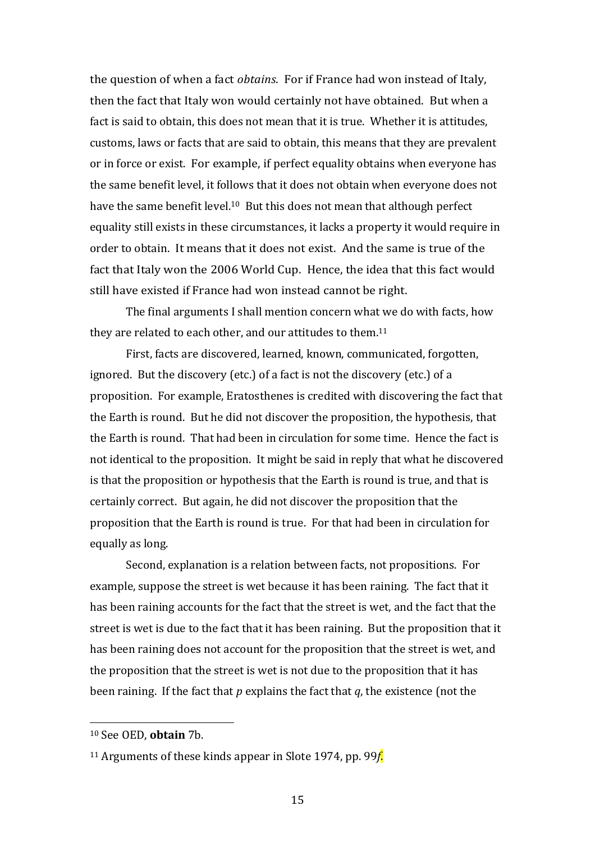the question of when a fact *obtains*. For if France had won instead of Italy, then the fact that Italy won would certainly not have obtained. But when a fact is said to obtain, this does not mean that it is true. Whether it is attitudes, customs, laws or facts that are said to obtain, this means that they are prevalent or in force or exist. For example, if perfect equality obtains when everyone has the same benefit level, it follows that it does not obtain when everyone does not have the same benefit level.<sup>10</sup> But this does not mean that although perfect equality still exists in these circumstances, it lacks a property it would require in order to obtain. It means that it does not exist. And the same is true of the fact that Italy won the 2006 World Cup. Hence, the idea that this fact would still have existed if France had won instead cannot be right.

The final arguments I shall mention concern what we do with facts, how they are related to each other, and our attitudes to them.<sup>11</sup>

First, facts are discovered, learned, known, communicated, forgotten, ignored. But the discovery (etc.) of a fact is not the discovery (etc.) of a proposition. For example, Eratosthenes is credited with discovering the fact that the Earth is round. But he did not discover the proposition, the hypothesis, that the Earth is round. That had been in circulation for some time. Hence the fact is not identical to the proposition. It might be said in reply that what he discovered is that the proposition or hypothesis that the Earth is round is true, and that is certainly correct. But again, he did not discover the proposition that the proposition that the Earth is round is true. For that had been in circulation for equally as long.

Second, explanation is a relation between facts, not propositions. For example, suppose the street is wet because it has been raining. The fact that it has been raining accounts for the fact that the street is wet, and the fact that the street is wet is due to the fact that it has been raining. But the proposition that it has been raining does not account for the proposition that the street is wet, and the proposition that the street is wet is not due to the proposition that it has been raining. If the fact that *p* explains the fact that *q*, the existence (not the

<sup>10</sup> See OED, **obtain** 7b.

<sup>11</sup> Arguments of these kinds appear in Slote 1974, pp. 99*f*.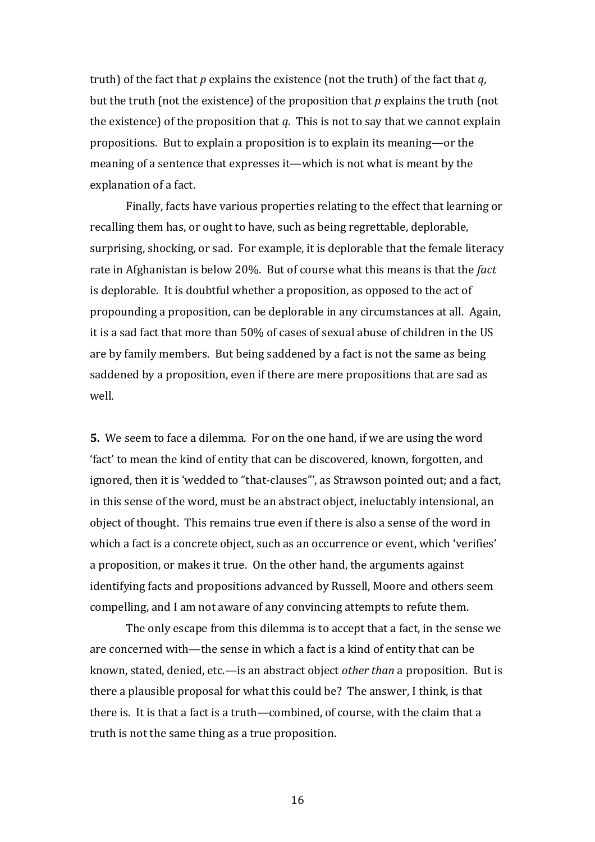truth) of the fact that *p* explains the existence (not the truth) of the fact that *q*, but the truth (not the existence) of the proposition that *p* explains the truth (not the existence) of the proposition that *q*. This is not to say that we cannot explain propositions. But to explain a proposition is to explain its meaning—or the meaning of a sentence that expresses it—which is not what is meant by the explanation of a fact.

Finally, facts have various properties relating to the effect that learning or recalling them has, or ought to have, such as being regrettable, deplorable, surprising, shocking, or sad. For example, it is deplorable that the female literacy rate in Afghanistan is below 20%. But of course what this means is that the *fact*  is deplorable. It is doubtful whether a proposition, as opposed to the act of propounding a proposition, can be deplorable in any circumstances at all. Again, it is a sad fact that more than 50% of cases of sexual abuse of children in the US are by family members. But being saddened by a fact is not the same as being saddened by a proposition, even if there are mere propositions that are sad as well.

**5.** We seem to face a dilemma. For on the one hand, if we are using the word 'fact' to mean the kind of entity that can be discovered, known, forgotten, and ignored, then it is 'wedded to "that-clauses"', as Strawson pointed out; and a fact, in this sense of the word, must be an abstract object, ineluctably intensional, an object of thought. This remains true even if there is also a sense of the word in which a fact is a concrete object, such as an occurrence or event, which 'verifies' a proposition, or makes it true. On the other hand, the arguments against identifying facts and propositions advanced by Russell, Moore and others seem compelling, and I am not aware of any convincing attempts to refute them.

The only escape from this dilemma is to accept that a fact, in the sense we are concerned with—the sense in which a fact is a kind of entity that can be known, stated, denied, etc.—is an abstract object *other than* a proposition. But is there a plausible proposal for what this could be? The answer, I think, is that there is. It is that a fact is a truth—combined, of course, with the claim that a truth is not the same thing as a true proposition.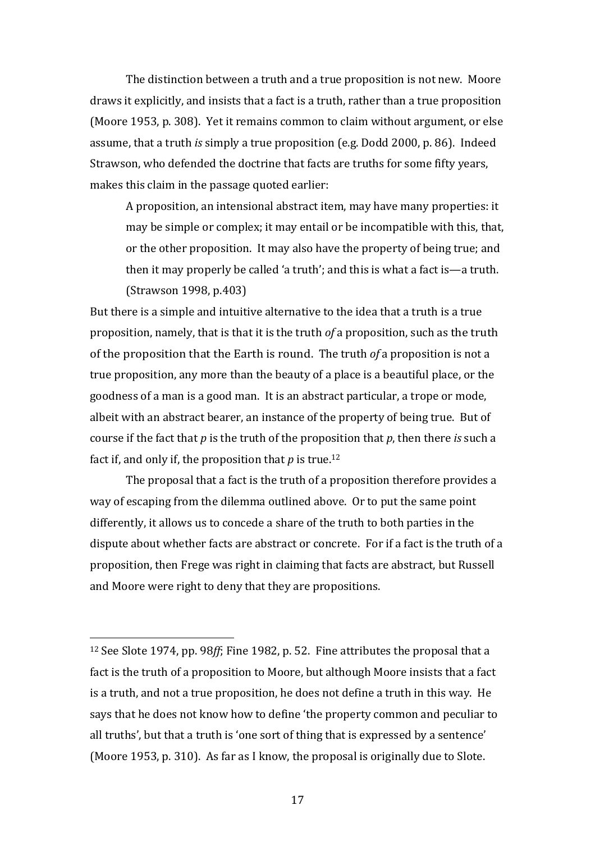The distinction between a truth and a true proposition is not new. Moore draws it explicitly, and insists that a fact is a truth, rather than a true proposition (Moore 1953, p. 308). Yet it remains common to claim without argument, or else assume, that a truth *is* simply a true proposition (e.g. Dodd 2000, p. 86). Indeed Strawson, who defended the doctrine that facts are truths for some fifty years, makes this claim in the passage quoted earlier:

A proposition, an intensional abstract item, may have many properties: it may be simple or complex; it may entail or be incompatible with this, that, or the other proposition. It may also have the property of being true; and then it may properly be called 'a truth'; and this is what a fact is—a truth. (Strawson 1998, p.403)

But there is a simple and intuitive alternative to the idea that a truth is a true proposition, namely, that is that it is the truth *of* a proposition, such as the truth of the proposition that the Earth is round. The truth *of* a proposition is not a true proposition, any more than the beauty of a place is a beautiful place, or the goodness of a man is a good man. It is an abstract particular, a trope or mode, albeit with an abstract bearer, an instance of the property of being true. But of course if the fact that *p* is the truth of the proposition that *p*, then there *is* such a fact if, and only if, the proposition that  $p$  is true.<sup>12</sup>

The proposal that a fact is the truth of a proposition therefore provides a way of escaping from the dilemma outlined above. Or to put the same point differently, it allows us to concede a share of the truth to both parties in the dispute about whether facts are abstract or concrete. For if a fact is the truth of a proposition, then Frege was right in claiming that facts are abstract, but Russell and Moore were right to deny that they are propositions.

<sup>12</sup> See Slote 1974, pp. 98*ff*; Fine 1982, p. 52. Fine attributes the proposal that a fact is the truth of a proposition to Moore, but although Moore insists that a fact is a truth, and not a true proposition, he does not define a truth in this way. He says that he does not know how to define 'the property common and peculiar to all truths', but that a truth is 'one sort of thing that is expressed by a sentence' (Moore 1953, p. 310). As far as I know, the proposal is originally due to Slote.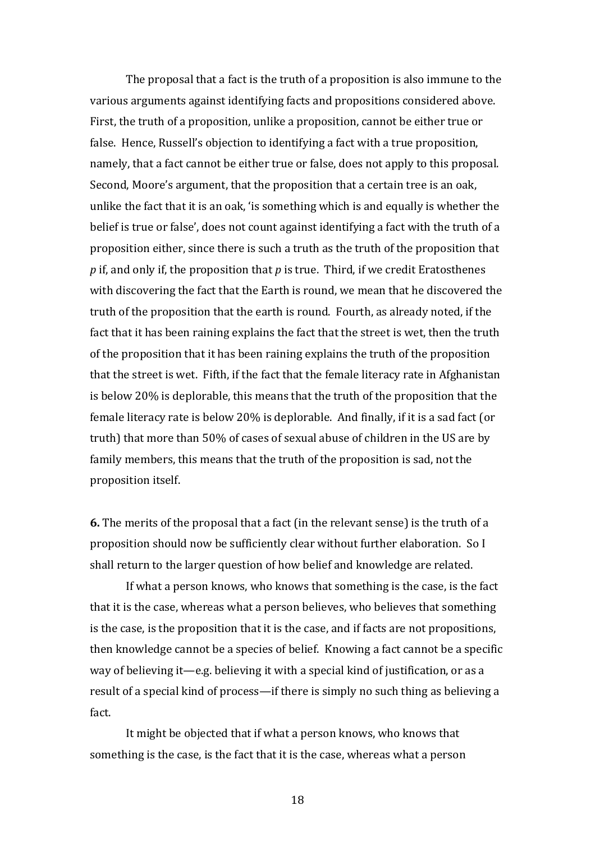The proposal that a fact is the truth of a proposition is also immune to the various arguments against identifying facts and propositions considered above. First, the truth of a proposition, unlike a proposition, cannot be either true or false. Hence, Russell's objection to identifying a fact with a true proposition, namely, that a fact cannot be either true or false, does not apply to this proposal. Second, Moore's argument, that the proposition that a certain tree is an oak, unlike the fact that it is an oak, 'is something which is and equally is whether the belief is true or false', does not count against identifying a fact with the truth of a proposition either, since there is such a truth as the truth of the proposition that *p* if, and only if, the proposition that *p* is true. Third, if we credit Eratosthenes with discovering the fact that the Earth is round, we mean that he discovered the truth of the proposition that the earth is round. Fourth, as already noted, if the fact that it has been raining explains the fact that the street is wet, then the truth of the proposition that it has been raining explains the truth of the proposition that the street is wet. Fifth, if the fact that the female literacy rate in Afghanistan is below 20% is deplorable, this means that the truth of the proposition that the female literacy rate is below 20% is deplorable. And finally, if it is a sad fact (or truth) that more than 50% of cases of sexual abuse of children in the US are by family members, this means that the truth of the proposition is sad, not the proposition itself.

**6.** The merits of the proposal that a fact (in the relevant sense) is the truth of a proposition should now be sufficiently clear without further elaboration. So I shall return to the larger question of how belief and knowledge are related.

If what a person knows, who knows that something is the case, is the fact that it is the case, whereas what a person believes, who believes that something is the case, is the proposition that it is the case, and if facts are not propositions, then knowledge cannot be a species of belief. Knowing a fact cannot be a specific way of believing it—e.g. believing it with a special kind of justification, or as a result of a special kind of process—if there is simply no such thing as believing a fact.

It might be objected that if what a person knows, who knows that something is the case, is the fact that it is the case, whereas what a person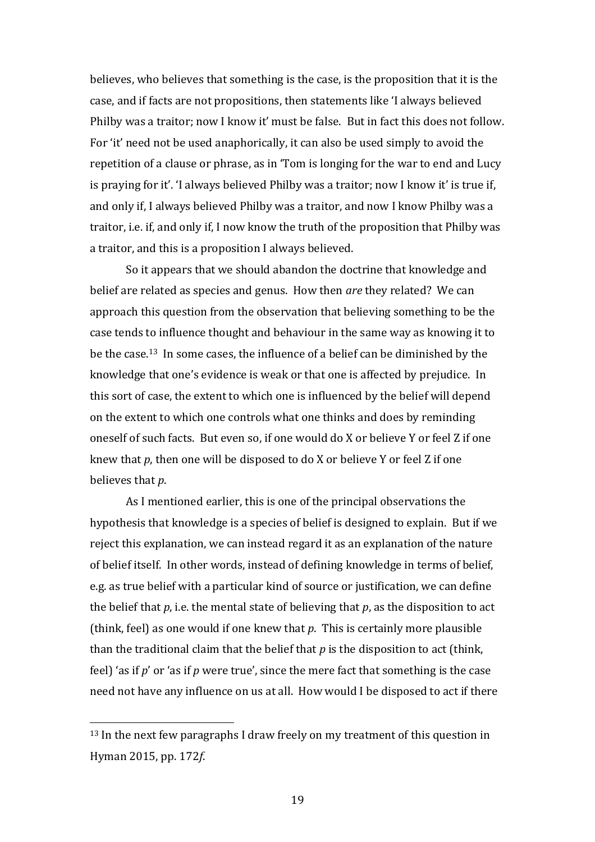believes, who believes that something is the case, is the proposition that it is the case, and if facts are not propositions, then statements like 'I always believed Philby was a traitor; now I know it' must be false. But in fact this does not follow. For 'it' need not be used anaphorically, it can also be used simply to avoid the repetition of a clause or phrase, as in 'Tom is longing for the war to end and Lucy is praying for it'. 'I always believed Philby was a traitor; now I know it' is true if, and only if, I always believed Philby was a traitor, and now I know Philby was a traitor, i.e. if, and only if, I now know the truth of the proposition that Philby was a traitor, and this is a proposition I always believed.

So it appears that we should abandon the doctrine that knowledge and belief are related as species and genus. How then *are* they related? We can approach this question from the observation that believing something to be the case tends to influence thought and behaviour in the same way as knowing it to be the case.13 In some cases, the influence of a belief can be diminished by the knowledge that one's evidence is weak or that one is affected by prejudice. In this sort of case, the extent to which one is influenced by the belief will depend on the extent to which one controls what one thinks and does by reminding oneself of such facts. But even so, if one would do X or believe Y or feel Z if one knew that *p*, then one will be disposed to do X or believe Y or feel Z if one believes that *p*.

As I mentioned earlier, this is one of the principal observations the hypothesis that knowledge is a species of belief is designed to explain. But if we reject this explanation, we can instead regard it as an explanation of the nature of belief itself. In other words, instead of defining knowledge in terms of belief, e.g. as true belief with a particular kind of source or justification, we can define the belief that *p*, i.e. the mental state of believing that *p*, as the disposition to act (think, feel) as one would if one knew that *p*. This is certainly more plausible than the traditional claim that the belief that *p* is the disposition to act (think, feel) 'as if *p*' or 'as if *p* were true', since the mere fact that something is the case need not have any influence on us at all. How would I be disposed to act if there

<sup>&</sup>lt;sup>13</sup> In the next few paragraphs I draw freely on my treatment of this question in Hyman 2015, pp. 172*f*.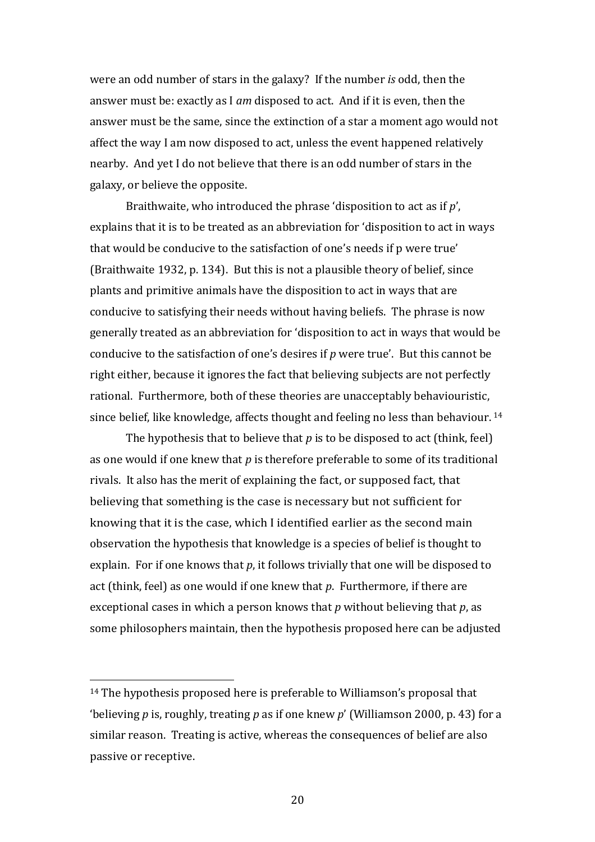were an odd number of stars in the galaxy? If the number *is* odd, then the answer must be: exactly as I *am* disposed to act. And if it is even, then the answer must be the same, since the extinction of a star a moment ago would not affect the way I am now disposed to act, unless the event happened relatively nearby. And yet I do not believe that there is an odd number of stars in the galaxy, or believe the opposite.

Braithwaite, who introduced the phrase 'disposition to act as if *p*', explains that it is to be treated as an abbreviation for 'disposition to act in ways that would be conducive to the satisfaction of one's needs if p were true' (Braithwaite 1932, p. 134). But this is not a plausible theory of belief, since plants and primitive animals have the disposition to act in ways that are conducive to satisfying their needs without having beliefs. The phrase is now generally treated as an abbreviation for 'disposition to act in ways that would be conducive to the satisfaction of one's desires if *p* were true'. But this cannot be right either, because it ignores the fact that believing subjects are not perfectly rational. Furthermore, both of these theories are unacceptably behaviouristic, since belief, like knowledge, affects thought and feeling no less than behaviour. <sup>14</sup>

The hypothesis that to believe that *p* is to be disposed to act (think, feel) as one would if one knew that *p* is therefore preferable to some of its traditional rivals. It also has the merit of explaining the fact, or supposed fact, that believing that something is the case is necessary but not sufficient for knowing that it is the case, which I identified earlier as the second main observation the hypothesis that knowledge is a species of belief is thought to explain. For if one knows that *p*, it follows trivially that one will be disposed to act (think, feel) as one would if one knew that *p*. Furthermore, if there are exceptional cases in which a person knows that *p* without believing that *p*, as some philosophers maintain, then the hypothesis proposed here can be adjusted

<sup>&</sup>lt;sup>14</sup> The hypothesis proposed here is preferable to Williamson's proposal that 'believing *p* is, roughly, treating *p* as if one knew *p*' (Williamson 2000, p. 43) for a similar reason. Treating is active, whereas the consequences of belief are also passive or receptive.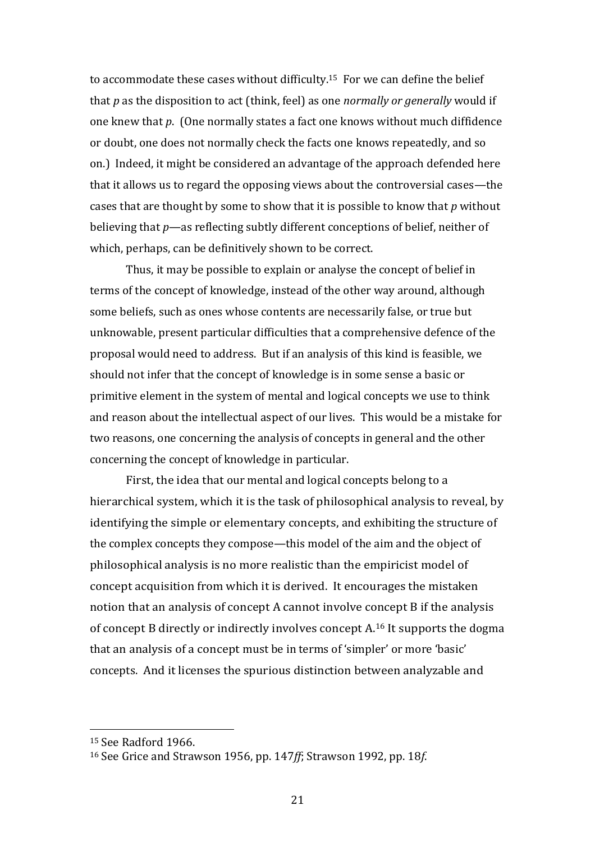to accommodate these cases without difficulty.<sup>15</sup> For we can define the belief that *p* as the disposition to act (think, feel) as one *normally or generally* would if one knew that *p*. (One normally states a fact one knows without much diffidence or doubt, one does not normally check the facts one knows repeatedly, and so on.) Indeed, it might be considered an advantage of the approach defended here that it allows us to regard the opposing views about the controversial cases—the cases that are thought by some to show that it is possible to know that *p* without believing that *p*—as reflecting subtly different conceptions of belief, neither of which, perhaps, can be definitively shown to be correct.

Thus, it may be possible to explain or analyse the concept of belief in terms of the concept of knowledge, instead of the other way around, although some beliefs, such as ones whose contents are necessarily false, or true but unknowable, present particular difficulties that a comprehensive defence of the proposal would need to address. But if an analysis of this kind is feasible, we should not infer that the concept of knowledge is in some sense a basic or primitive element in the system of mental and logical concepts we use to think and reason about the intellectual aspect of our lives. This would be a mistake for two reasons, one concerning the analysis of concepts in general and the other concerning the concept of knowledge in particular.

First, the idea that our mental and logical concepts belong to a hierarchical system, which it is the task of philosophical analysis to reveal, by identifying the simple or elementary concepts, and exhibiting the structure of the complex concepts they compose—this model of the aim and the object of philosophical analysis is no more realistic than the empiricist model of concept acquisition from which it is derived. It encourages the mistaken notion that an analysis of concept A cannot involve concept B if the analysis of concept B directly or indirectly involves concept A.<sup>16</sup> It supports the dogma that an analysis of a concept must be in terms of 'simpler' or more 'basic' concepts. And it licenses the spurious distinction between analyzable and

<sup>15</sup> See Radford 1966.

<sup>16</sup> See Grice and Strawson 1956, pp. 147*ff*; Strawson 1992, pp. 18*f*.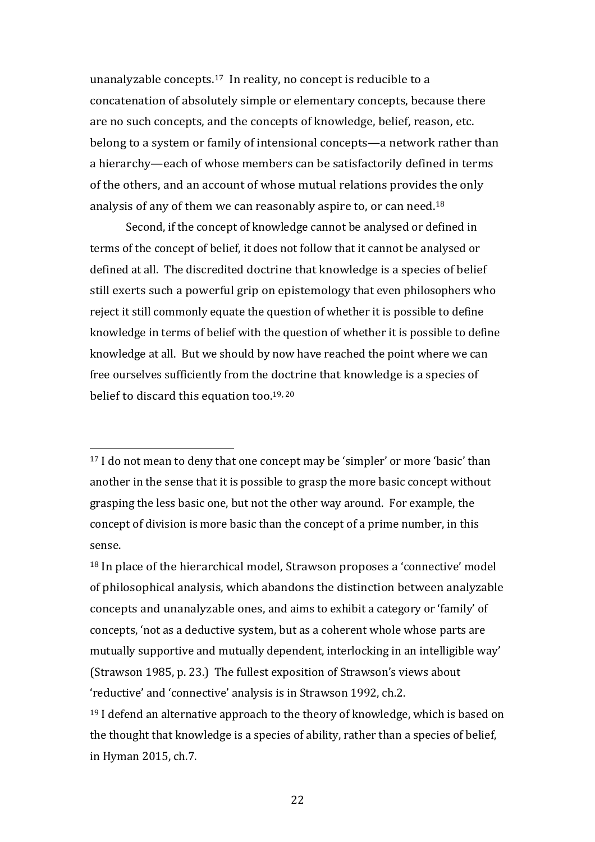unanalyzable concepts.<sup>17</sup> In reality, no concept is reducible to a concatenation of absolutely simple or elementary concepts, because there are no such concepts, and the concepts of knowledge, belief, reason, etc. belong to a system or family of intensional concepts—a network rather than a hierarchy—each of whose members can be satisfactorily defined in terms of the others, and an account of whose mutual relations provides the only analysis of any of them we can reasonably aspire to, or can need.<sup>18</sup>

Second, if the concept of knowledge cannot be analysed or defined in terms of the concept of belief, it does not follow that it cannot be analysed or defined at all. The discredited doctrine that knowledge is a species of belief still exerts such a powerful grip on epistemology that even philosophers who reject it still commonly equate the question of whether it is possible to define knowledge in terms of belief with the question of whether it is possible to define knowledge at all. But we should by now have reached the point where we can free ourselves sufficiently from the doctrine that knowledge is a species of belief to discard this equation too.19, <sup>20</sup>

<sup>18</sup> In place of the hierarchical model, Strawson proposes a 'connective' model of philosophical analysis, which abandons the distinction between analyzable concepts and unanalyzable ones, and aims to exhibit a category or 'family' of concepts, 'not as a deductive system, but as a coherent whole whose parts are mutually supportive and mutually dependent, interlocking in an intelligible way' (Strawson 1985, p. 23.) The fullest exposition of Strawson's views about 'reductive' and 'connective' analysis is in Strawson 1992, ch.2.

<sup>19</sup> I defend an alternative approach to the theory of knowledge, which is based on the thought that knowledge is a species of ability, rather than a species of belief, in Hyman 2015, ch.7.

<sup>&</sup>lt;sup>17</sup> I do not mean to deny that one concept may be 'simpler' or more 'basic' than another in the sense that it is possible to grasp the more basic concept without grasping the less basic one, but not the other way around. For example, the concept of division is more basic than the concept of a prime number, in this sense.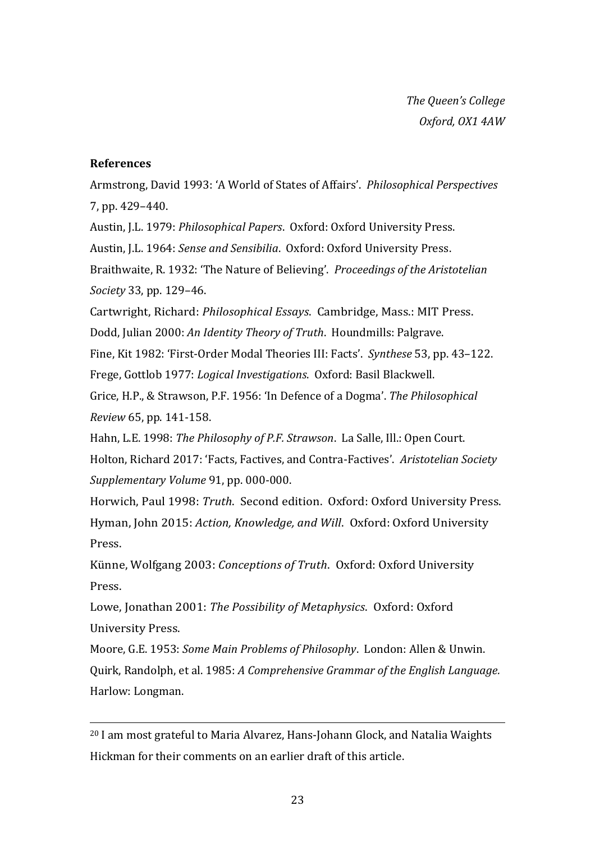## **References**

Armstrong, David 1993: 'A World of States of Affairs'. *Philosophical Perspectives* 7, pp. 429–440.

Austin, J.L. 1979: *Philosophical Papers*. Oxford: Oxford University Press. Austin, J.L. 1964: *Sense and Sensibilia*. Oxford: Oxford University Press.

Braithwaite, R. 1932: 'The Nature of Believing'. *Proceedings of the Aristotelian Society* 33, pp. 129–46.

Cartwright, Richard: *Philosophical Essays*. Cambridge, Mass.: MIT Press. Dodd, Julian 2000: *An Identity Theory of Truth*. Houndmills: Palgrave.

Fine, Kit 1982: 'First-Order Modal Theories III: Facts'. *Synthese* 53, pp. 43–122. Frege, Gottlob 1977: *Logical Investigations*. Oxford: Basil Blackwell.

Grice, H.P., & Strawson, P.F. 1956: 'In Defence of a Dogma'. *The Philosophical Review* 65, pp. 141-158.

Hahn, L.E. 1998: *The Philosophy of P.F. Strawson*. La Salle, Ill.: Open Court. Holton, Richard 2017: 'Facts, Factives, and Contra-Factives'. *Aristotelian Society Supplementary Volume* 91, pp. 000-000.

Horwich, Paul 1998: *Truth*. Second edition. Oxford: Oxford University Press. Hyman, John 2015: *Action, Knowledge, and Will*. Oxford: Oxford University Press.

Künne, Wolfgang 2003: *Conceptions of Truth*. Oxford: Oxford University Press.

Lowe, Jonathan 2001: *The Possibility of Metaphysics*. Oxford: Oxford University Press.

Moore, G.E. 1953: *Some Main Problems of Philosophy*. London: Allen & Unwin. Quirk, Randolph, et al. 1985: *A Comprehensive Grammar of the English Language.* Harlow: Longman.

<sup>20</sup> I am most grateful to Maria Alvarez, Hans-Johann Glock, and Natalia Waights Hickman for their comments on an earlier draft of this article.